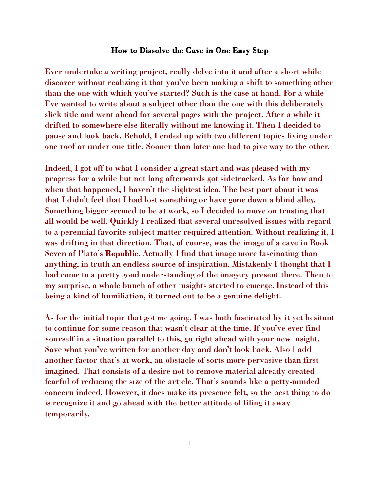## How to Dissolve the Cave in One Easy Step

Ever undertake a writing project, really delve into it and after a short while discover without realizing it that you've been making a shift to something other than the one with which you've started? Such is the case at hand. For a while I've wanted to write about a subject other than the one with this deliberately slick title and went ahead for several pages with the project. After a while it drifted to somewhere else literally without me knowing it. Then I decided to pause and look back. Behold, I ended up with two different topics living under one roof or under one title. Sooner than later one had to give way to the other.

Indeed, I got off to what I consider a great start and was pleased with my progress for a while but not long afterwards got sidetracked. As for how and when that happened, I haven't the slightest idea. The best part about it was that I didn't feel that I had lost something or have gone down a blind alley. Something bigger seemed to be at work, so I decided to move on trusting that all would be well. Quickly I realized that several unresolved issues with regard to a perennial favorite subject matter required attention. Without realizing it, I was drifting in that direction. That, of course, was the image of a cave in Book Seven of Plato's **Republic.** Actually I find that image more fascinating than anything, in truth an endless source of inspiration. Mistakenly I thought that I had come to a pretty good understanding of the imagery present there. Then to my surprise, a whole bunch of other insights started to emerge. Instead of this being a kind of humiliation, it turned out to be a genuine delight.

As for the initial topic that got me going, I was both fascinated by it yet hesitant to continue for some reason that wasn't clear at the time. If you've ever find yourself in a situation parallel to this, go right ahead with your new insight. Save what you've written for another day and don't look back. Also I add another factor that's at work, an obstacle of sorts more pervasive than first imagined. That consists of a desire not to remove material already created fearful of reducing the size of the article. That's sounds like a petty-minded concern indeed. However, it does make its presence felt, so the best thing to do is recognize it and go ahead with the better attitude of filing it away temporarily.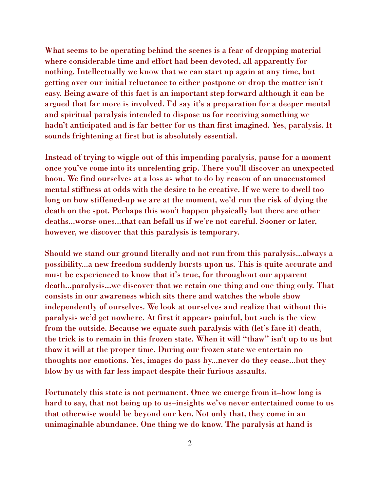What seems to be operating behind the scenes is a fear of dropping material where considerable time and effort had been devoted, all apparently for nothing. Intellectually we know that we can start up again at any time, but getting over our initial reluctance to either postpone or drop the matter isn't easy. Being aware of this fact is an important step forward although it can be argued that far more is involved. I'd say it's a preparation for a deeper mental and spiritual paralysis intended to dispose us for receiving something we hadn't anticipated and is far better for us than first imagined. Yes, paralysis. It sounds frightening at first but is absolutely essential.

Instead of trying to wiggle out of this impending paralysis, pause for a moment once you've come into its unrelenting grip. There you'll discover an unexpected boon. We find ourselves at a loss as what to do by reason of an unaccustomed mental stiffness at odds with the desire to be creative. If we were to dwell too long on how stiffened-up we are at the moment, we'd run the risk of dying the death on the spot. Perhaps this won't happen physically but there are other deaths...worse ones...that can befall us if we're not careful. Sooner or later, however, we discover that this paralysis is temporary.

Should we stand our ground literally and not run from this paralysis...always a possibility...a new freedom suddenly bursts upon us. This is quite accurate and must be experienced to know that it's true, for throughout our apparent death...paralysis...we discover that we retain one thing and one thing only. That consists in our awareness which sits there and watches the whole show independently of ourselves. We look at ourselves and realize that without this paralysis we'd get nowhere. At first it appears painful, but such is the view from the outside. Because we equate such paralysis with (let's face it) death, the trick is to remain in this frozen state. When it will "thaw" isn't up to us but thaw it will at the proper time. During our frozen state we entertain no thoughts nor emotions. Yes, images do pass by...never do they cease...but they blow by us with far less impact despite their furious assaults.

Fortunately this state is not permanent. Once we emerge from it–how long is hard to say, that not being up to us–insights we've never entertained come to us that otherwise would be beyond our ken. Not only that, they come in an unimaginable abundance. One thing we do know. The paralysis at hand is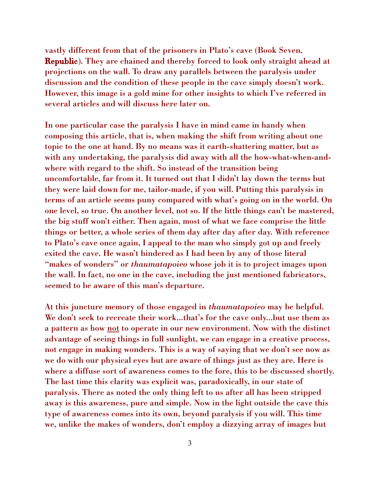vastly different from that of the prisoners in Plato's cave (Book Seven, **Republic**). They are chained and thereby forced to look only straight ahead at projections on the wall. To draw any parallels between the paralysis under discussion and the condition of these people in the cave simply doesn't work. However, this image is a gold mine for other insights to which I've referred in several articles and will discuss here later on.

In one particular case the paralysis I have in mind came in handy when composing this article, that is, when making the shift from writing about one topic to the one at hand. By no means was it earth-shattering matter, but as with any undertaking, the paralysis did away with all the how-what-when-andwhere with regard to the shift. So instead of the transition being uncomfortable, far from it. It turned out that I didn't lay down the terms but they were laid down for me, tailor-made, if you will. Putting this paralysis in terms of an article seems puny compared with what's going on in the world. On one level, so true. On another level, not so. If the little things can't be mastered, the big stuff won't either. Then again, most of what we face comprise the little things or better, a whole series of them day after day after day. With reference to Plato's cave once again, I appeal to the man who simply got up and freely exited the cave. He wasn't hindered as I had been by any of those literal "makes of wonders" or *thaumatapoieo* whose job it is to project images upon the wall. In fact, no one in the cave, including the just mentioned fabricators, seemed to be aware of this man's departure.

At this juncture memory of those engaged in *thaumatapoieo* may be helpful. We don't seek to recreate their work...that's for the cave only...but use them as a pattern as how <u>not</u> to operate in our new environment. Now with the distinct advantage of seeing things in full sunlight, we can engage in a creative process, not engage in making wonders. This is a way of saying that we don't see now as we do with our physical eyes but are aware of things just as they are. Here is where a diffuse sort of awareness comes to the fore, this to be discussed shortly. The last time this clarity was explicit was, paradoxically, in our state of paralysis. There as noted the only thing left to us after all has been stripped away is this awareness, pure and simple. Now in the light outside the cave this type of awareness comes into its own, beyond paralysis if you will. This time we, unlike the makes of wonders, don't employ a dizzying array of images but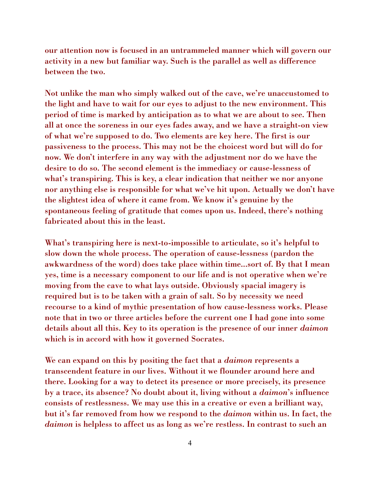our attention now is focused in an untrammeled manner which will govern our activity in a new but familiar way. Such is the parallel as well as difference between the two.

Not unlike the man who simply walked out of the cave, we're unaccustomed to the light and have to wait for our eyes to adjust to the new environment. This period of time is marked by anticipation as to what we are about to see. Then all at once the soreness in our eyes fades away, and we have a straight-on view of what we're supposed to do. Two elements are key here. The first is our passiveness to the process. This may not be the choicest word but will do for now. We don't interfere in any way with the adjustment nor do we have the desire to do so. The second element is the immediacy or cause-lessness of what's transpiring. This is key, a clear indication that neither we nor anyone nor anything else is responsible for what we've hit upon. Actually we don't have the slightest idea of where it came from. We know it's genuine by the spontaneous feeling of gratitude that comes upon us. Indeed, there's nothing fabricated about this in the least.

What's transpiring here is next-to-impossible to articulate, so it's helpful to slow down the whole process. The operation of cause-lessness (pardon the awkwardness of the word) does take place within time...sort of. By that I mean yes, time is a necessary component to our life and is not operative when we're moving from the cave to what lays outside. Obviously spacial imagery is required but is to be taken with a grain of salt. So by necessity we need recourse to a kind of mythic presentation of how cause-lessness works. Please note that in two or three articles before the current one I had gone into some details about all this. Key to its operation is the presence of our inner *daimon*  which is in accord with how it governed Socrates.

We can expand on this by positing the fact that a *daimon* represents a transcendent feature in our lives. Without it we flounder around here and there. Looking for a way to detect its presence or more precisely, its presence by a trace, its absence? No doubt about it, living without a *daimon*'s influence consists of restlessness. We may use this in a creative or even a brilliant way, but it's far removed from how we respond to the *daimon* within us. In fact, the *daimon* is helpless to affect us as long as we're restless. In contrast to such an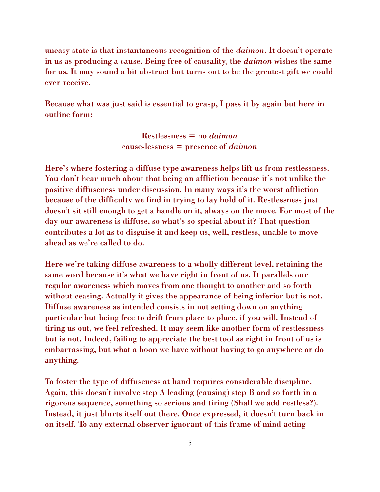uneasy state is that instantaneous recognition of the *daimon*. It doesn't operate in us as producing a cause. Being free of causality, the *daimon* wishes the same for us. It may sound a bit abstract but turns out to be the greatest gift we could ever receive.

Because what was just said is essential to grasp, I pass it by again but here in outline form:

> Restlessness = no *daimon* cause-lessness = presence of *daimon*

Here's where fostering a diffuse type awareness helps lift us from restlessness. You don't hear much about that being an affliction because it's not unlike the positive diffuseness under discussion. In many ways it's the worst affliction because of the difficulty we find in trying to lay hold of it. Restlessness just doesn't sit still enough to get a handle on it, always on the move. For most of the day our awareness is diffuse, so what's so special about it? That question contributes a lot as to disguise it and keep us, well, restless, unable to move ahead as we're called to do.

Here we're taking diffuse awareness to a wholly different level, retaining the same word because it's what we have right in front of us. It parallels our regular awareness which moves from one thought to another and so forth without ceasing. Actually it gives the appearance of being inferior but is not. Diffuse awareness as intended consists in not setting down on anything particular but being free to drift from place to place, if you will. Instead of tiring us out, we feel refreshed. It may seem like another form of restlessness but is not. Indeed, failing to appreciate the best tool as right in front of us is embarrassing, but what a boon we have without having to go anywhere or do anything.

To foster the type of diffuseness at hand requires considerable discipline. Again, this doesn't involve step A leading (causing) step B and so forth in a rigorous sequence, something so serious and tiring (Shall we add restless?). Instead, it just blurts itself out there. Once expressed, it doesn't turn back in on itself. To any external observer ignorant of this frame of mind acting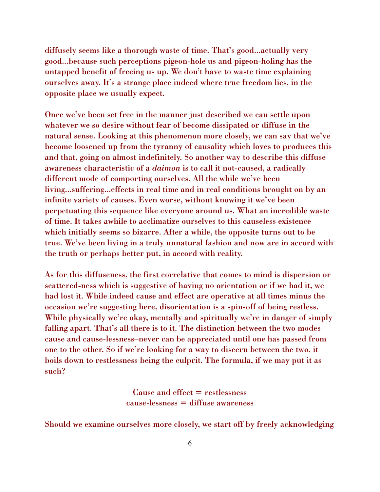diffusely seems like a thorough waste of time. That's good...actually very good...because such perceptions pigeon-hole us and pigeon-holing has the untapped benefit of freeing us up. We don't have to waste time explaining ourselves away. It's a strange place indeed where true freedom lies, in the opposite place we usually expect.

Once we've been set free in the manner just described we can settle upon whatever we so desire without fear of become dissipated or diffuse in the natural sense. Looking at this phenomenon more closely, we can say that we've become loosened up from the tyranny of causality which loves to produces this and that, going on almost indefinitely. So another way to describe this diffuse awareness characteristic of a *daimon* is to call it not-caused, a radically different mode of comporting ourselves. All the while we've been living...suffering...effects in real time and in real conditions brought on by an infinite variety of causes. Even worse, without knowing it we've been perpetuating this sequence like everyone around us. What an incredible waste of time. It takes awhile to acclimatize ourselves to this causeless existence which initially seems so bizarre. After a while, the opposite turns out to be true. We've been living in a truly unnatural fashion and now are in accord with the truth or perhaps better put, in accord with reality.

As for this diffuseness, the first correlative that comes to mind is dispersion or scattered-ness which is suggestive of having no orientation or if we had it, we had lost it. While indeed cause and effect are operative at all times minus the occasion we're suggesting here, disorientation is a spin-off of being restless. While physically we're okay, mentally and spiritually we're in danger of simply falling apart. That's all there is to it. The distinction between the two modes– cause and cause-lessness–never can be appreciated until one has passed from one to the other. So if we're looking for a way to discern between the two, it boils down to restlessness being the culprit. The formula, if we may put it as such?

> Cause and effect = restlessness cause-lessness = diffuse awareness

Should we examine ourselves more closely, we start off by freely acknowledging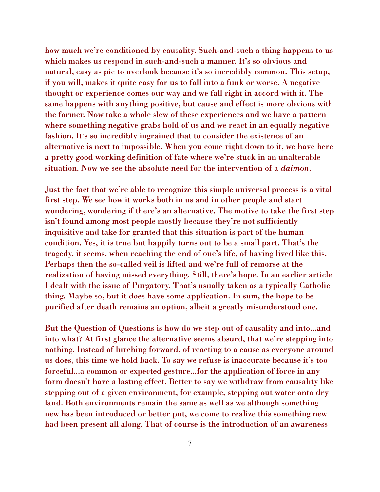how much we're conditioned by causality. Such-and-such a thing happens to us which makes us respond in such-and-such a manner. It's so obvious and natural, easy as pie to overlook because it's so incredibly common. This setup, if you will, makes it quite easy for us to fall into a funk or worse. A negative thought or experience comes our way and we fall right in accord with it. The same happens with anything positive, but cause and effect is more obvious with the former. Now take a whole slew of these experiences and we have a pattern where something negative grabs hold of us and we react in an equally negative fashion. It's so incredibly ingrained that to consider the existence of an alternative is next to impossible. When you come right down to it, we have here a pretty good working definition of fate where we're stuck in an unalterable situation. Now we see the absolute need for the intervention of a *daimon*.

Just the fact that we're able to recognize this simple universal process is a vital first step. We see how it works both in us and in other people and start wondering, wondering if there's an alternative. The motive to take the first step isn't found among most people mostly because they're not sufficiently inquisitive and take for granted that this situation is part of the human condition. Yes, it is true but happily turns out to be a small part. That's the tragedy, it seems, when reaching the end of one's life, of having lived like this. Perhaps then the so-called veil is lifted and we're full of remorse at the realization of having missed everything. Still, there's hope. In an earlier article I dealt with the issue of Purgatory. That's usually taken as a typically Catholic thing. Maybe so, but it does have some application. In sum, the hope to be purified after death remains an option, albeit a greatly misunderstood one.

But the Question of Questions is how do we step out of causality and into...and into what? At first glance the alternative seems absurd, that we're stepping into nothing. Instead of lurching forward, of reacting to a cause as everyone around us does, this time we hold back. To say we refuse is inaccurate because it's too forceful...a common or expected gesture...for the application of force in any form doesn't have a lasting effect. Better to say we withdraw from causality like stepping out of a given environment, for example, stepping out water onto dry land. Both environments remain the same as well as we although something new has been introduced or better put, we come to realize this something new had been present all along. That of course is the introduction of an awareness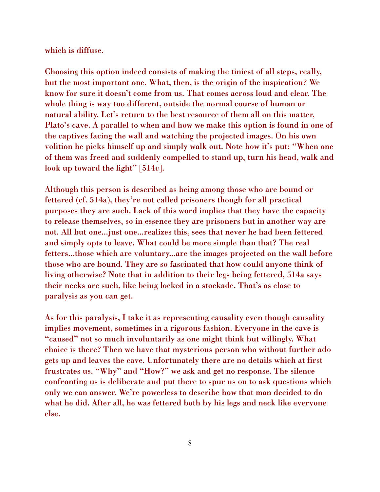which is diffuse.

Choosing this option indeed consists of making the tiniest of all steps, really, but the most important one. What, then, is the origin of the inspiration? We know for sure it doesn't come from us. That comes across loud and clear. The whole thing is way too different, outside the normal course of human or natural ability. Let's return to the best resource of them all on this matter, Plato's cave. A parallel to when and how we make this option is found in one of the captives facing the wall and watching the projected images. On his own volition he picks himself up and simply walk out. Note how it's put: "When one of them was freed and suddenly compelled to stand up, turn his head, walk and look up toward the light" [514c].

Although this person is described as being among those who are bound or fettered (cf. 514a), they're not called prisoners though for all practical purposes they are such. Lack of this word implies that they have the capacity to release themselves, so in essence they are prisoners but in another way are not. All but one...just one...realizes this, sees that never he had been fettered and simply opts to leave. What could be more simple than that? The real fetters...those which are voluntary...are the images projected on the wall before those who are bound. They are so fascinated that how could anyone think of living otherwise? Note that in addition to their legs being fettered, 514a says their necks are such, like being locked in a stockade. That's as close to paralysis as you can get.

As for this paralysis, I take it as representing causality even though causality implies movement, sometimes in a rigorous fashion. Everyone in the cave is "caused" not so much involuntarily as one might think but willingly. What choice is there? Then we have that mysterious person who without further ado gets up and leaves the cave. Unfortunately there are no details which at first frustrates us. "Why" and "How?" we ask and get no response. The silence confronting us is deliberate and put there to spur us on to ask questions which only we can answer. We're powerless to describe how that man decided to do what he did. After all, he was fettered both by his legs and neck like everyone else.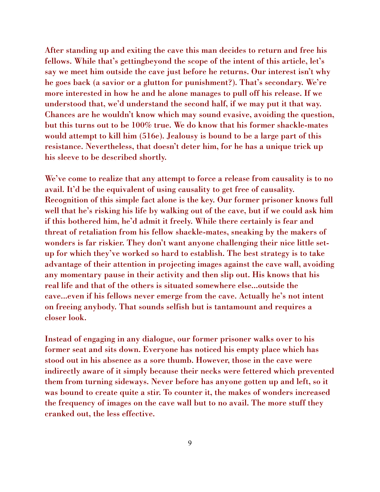After standing up and exiting the cave this man decides to return and free his fellows. While that's gettingbeyond the scope of the intent of this article, let's say we meet him outside the cave just before he returns. Our interest isn't why he goes back (a savior or a glutton for punishment?). That's secondary. We're more interested in how he and he alone manages to pull off his release. If we understood that, we'd understand the second half, if we may put it that way. Chances are he wouldn't know which may sound evasive, avoiding the question, but this turns out to be 100% true. We do know that his former shackle-mates would attempt to kill him (516e). Jealousy is bound to be a large part of this resistance. Nevertheless, that doesn't deter him, for he has a unique trick up his sleeve to be described shortly.

We've come to realize that any attempt to force a release from causality is to no avail. It'd be the equivalent of using causality to get free of causality. Recognition of this simple fact alone is the key. Our former prisoner knows full well that he's risking his life by walking out of the cave, but if we could ask him if this bothered him, he'd admit it freely. While there certainly is fear and threat of retaliation from his fellow shackle-mates, sneaking by the makers of wonders is far riskier. They don't want anyone challenging their nice little setup for which they've worked so hard to establish. The best strategy is to take advantage of their attention in projecting images against the cave wall, avoiding any momentary pause in their activity and then slip out. His knows that his real life and that of the others is situated somewhere else...outside the cave...even if his fellows never emerge from the cave. Actually he's not intent on freeing anybody. That sounds selfish but is tantamount and requires a closer look.

Instead of engaging in any dialogue, our former prisoner walks over to his former seat and sits down. Everyone has noticed his empty place which has stood out in his absence as a sore thumb. However, those in the cave were indirectly aware of it simply because their necks were fettered which prevented them from turning sideways. Never before has anyone gotten up and left, so it was bound to create quite a stir. To counter it, the makes of wonders increased the frequency of images on the cave wall but to no avail. The more stuff they cranked out, the less effective.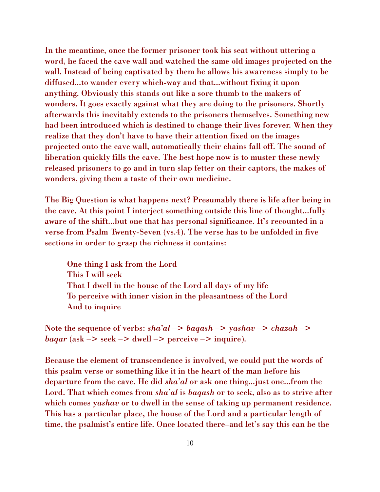In the meantime, once the former prisoner took his seat without uttering a word, he faced the cave wall and watched the same old images projected on the wall. Instead of being captivated by them he allows his awareness simply to be diffused...to wander every which-way and that...without fixing it upon anything. Obviously this stands out like a sore thumb to the makers of wonders. It goes exactly against what they are doing to the prisoners. Shortly afterwards this inevitably extends to the prisoners themselves. Something new had been introduced which is destined to change their lives forever. When they realize that they don't have to have their attention fixed on the images projected onto the cave wall, automatically their chains fall off. The sound of liberation quickly fills the cave. The best hope now is to muster these newly released prisoners to go and in turn slap fetter on their captors, the makes of wonders, giving them a taste of their own medicine.

The Big Question is what happens next? Presumably there is life after being in the cave. At this point I interject something outside this line of thought...fully aware of the shift...but one that has personal significance. It's recounted in a verse from Psalm Twenty-Seven (vs.4). The verse has to be unfolded in five sections in order to grasp the richness it contains:

One thing I ask from the Lord This I will seek That I dwell in the house of the Lord all days of my life To perceive with inner vision in the pleasantness of the Lord And to inquire

Note the sequence of verbs: *sha'al* -> *baqash* -> *yashav* -> *chazah* ->  $bagar$  (ask  $\rightarrow$  seek  $\rightarrow$  dwell  $\rightarrow$  perceive  $\rightarrow$  inquire).

Because the element of transcendence is involved, we could put the words of this psalm verse or something like it in the heart of the man before his departure from the cave. He did *sha'al* or ask one thing...just one...from the Lord. That which comes from *sha'al* is *baqash* or to seek, also as to strive after which comes *yashav* or to dwell in the sense of taking up permanent residence. This has a particular place, the house of the Lord and a particular length of time, the psalmist's entire life. Once located there–and let's say this can be the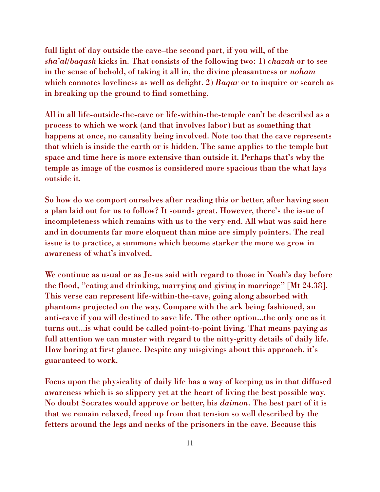full light of day outside the cave–the second part, if you will, of the *sha'al*/*baqash* kicks in. That consists of the following two: 1) *chazah* or to see in the sense of behold, of taking it all in, the divine pleasantness or *noham*  which connotes loveliness as well as delight. 2) *Baqar* or to inquire or search as in breaking up the ground to find something.

All in all life-outside-the-cave or life-within-the-temple can't be described as a process to which we work (and that involves labor) but as something that happens at once, no causality being involved. Note too that the cave represents that which is inside the earth or is hidden. The same applies to the temple but space and time here is more extensive than outside it. Perhaps that's why the temple as image of the cosmos is considered more spacious than the what lays outside it.

So how do we comport ourselves after reading this or better, after having seen a plan laid out for us to follow? It sounds great. However, there's the issue of incompleteness which remains with us to the very end. All what was said here and in documents far more eloquent than mine are simply pointers. The real issue is to practice, a summons which become starker the more we grow in awareness of what's involved.

We continue as usual or as Jesus said with regard to those in Noah's day before the flood, "eating and drinking, marrying and giving in marriage" [Mt 24.38]. This verse can represent life-within-the-cave, going along absorbed with phantoms projected on the way. Compare with the ark being fashioned, an anti-cave if you will destined to save life. The other option...the only one as it turns out...is what could be called point-to-point living. That means paying as full attention we can muster with regard to the nitty-gritty details of daily life. How boring at first glance. Despite any misgivings about this approach, it's guaranteed to work.

Focus upon the physicality of daily life has a way of keeping us in that diffused awareness which is so slippery yet at the heart of living the best possible way. No doubt Socrates would approve or better, his *daimon*. The best part of it is that we remain relaxed, freed up from that tension so well described by the fetters around the legs and necks of the prisoners in the cave. Because this